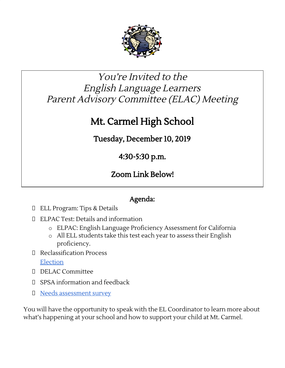

## You're Invited to the English Language Learners Parent Advisory Committee (ELAC) Meeting

## Mt. Carmel High School

Tuesday, December 10, 2019

4:30-5:30 p.m.

Zoom Link Below!

## Agenda:

- ELL Program: Tips & Details
- ELPAC Test: Details and information
	- o ELPAC: English Language Proficiency Assessment for California
	- o All ELL students take this test each year to assess their English proficiency.
- Reclassification Process

[Election](https://docs.google.com/forms/d/e/1FAIpQLSfKwzEd0zTliAC1CXRDL11aSRDULv_zDodC4YswaDBV6t-Ruw/viewform?usp=sf_link)

- DELAC Committee
- SPSA information and feedback
- D Needs [assessment](https://docs.google.com/forms/d/e/1FAIpQLSeSg7MWu1vWa0DK6OvahOP52guzqMvG0QxMS3DdPmhO9tVdBA/viewform?usp=sf_link) survey

You will have the opportunity to speak with the EL Coordinator to learn more about what's happening at your school and how to support your child at Mt. Carmel.